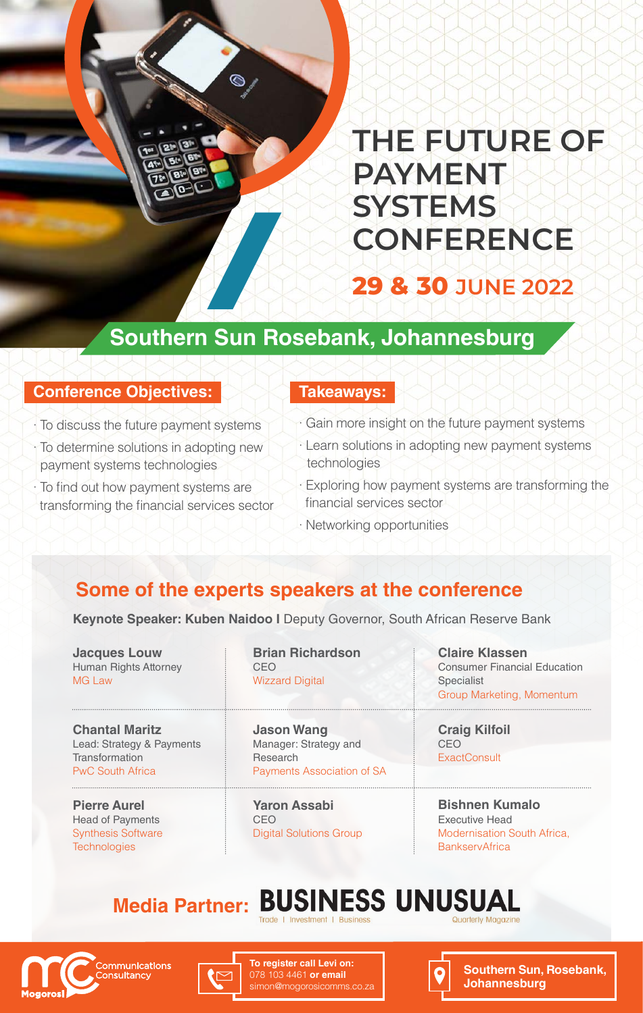# **29 & 30 JUNE 2022 THE FUTURE OF PAYMENT SYSTEMS CONFERENCE**

## **Southern Sun Rosebank, Johannesburg**

#### **Conference Objectives:**

- $\cdot$  To discuss the future payment systems
- : To determine solutions in adopting new payment systems technologies
- · To find out how payment systems are transforming the financial services sector

#### **:Takeaways**

- · Gain more insight on the future payment systems
- · Learn solutions in adopting new payment systems technologies
- $\cdot$  Exploring how payment systems are transforming the financial services sector
- $\cdot$  Networking opportunities

### **Some of the experts speakers at the conference**

Keynote Speaker: Kuben Naidoo I Deputy Governor, South African Reserve Bank

**Louw Jacques Human Rights Attorney** MG Law

**Chantal Maritz** Lead: Strategy & Payments **Transformation PwC South Africa** 

**Pierre Aurel** Head of Payments **Synthesis Software Technologies** 

**Richardson Brian** CEO **Wizzard Digital** 

**Wang Jason** Manager: Strategy and Research Payments Association of SA

**Yaron Assabi** CEO Digital Solutions Group

**Claire Klassen Consumer Financial Education** Specialist Group Marketing, Momentum

**Craig Kilfoil** CEO **ExactConsult** 

**Bishnen Kumalo Executive Head** Modernisation South Africa, **BankservAfrica** 

#### **BUSINESS UNUSUAL Media Partner:**





**To register call Levi on: 078 103 4461 or email** simon@mogorosicomms.co



**Southern Sun, Rosebank, Johannesburg**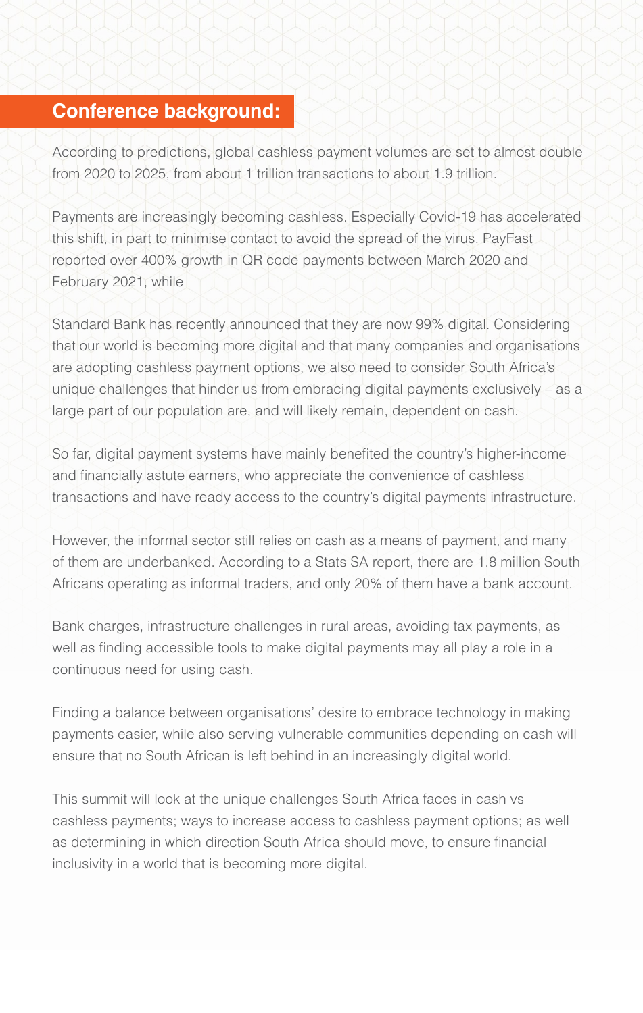### **Conference background:**

According to predictions, global cashless payment volumes are set to almost double from 2020 to 2025, from about 1 trillion transactions to about 1.9 trillion.

Payments are increasingly becoming cashless. Especially Covid-19 has accelerated this shift, in part to minimise contact to avoid the spread of the virus. PayFast reported over 400% growth in QR code payments between March 2020 and February 2021, while

Standard Bank has recently announced that they are now 99% digital. Considering that our world is becoming more digital and that many companies and organisations are adopting cashless payment options, we also need to consider South Africa's unique challenges that hinder us from embracing digital payments exclusively  $-$  as a large part of our population are, and will likely remain, dependent on cash.

So far, digital payment systems have mainly benefited the country's higher-income and financially astute earners, who appreciate the convenience of cashless transactions and have ready access to the country's digital payments infrastructure.

However, the informal sector still relies on cash as a means of payment, and many of them are underbanked. According to a Stats SA report, there are 1.8 million South Africans operating as informal traders, and only 20% of them have a bank account.

Bank charges, infrastructure challenges in rural areas, avoiding tax payments, as well as finding accessible tools to make digital payments may all play a role in a continuous need for using cash.

Finding a balance between organisations' desire to embrace technology in making payments easier, while also serving vulnerable communities depending on cash will ensure that no South African is left behind in an increasingly digital world.

This summit will look at the unique challenges South Africa faces in cash vs cashless payments; ways to increase access to cashless payment options; as well as determining in which direction South Africa should move, to ensure financial inclusivity in a world that is becoming more digital.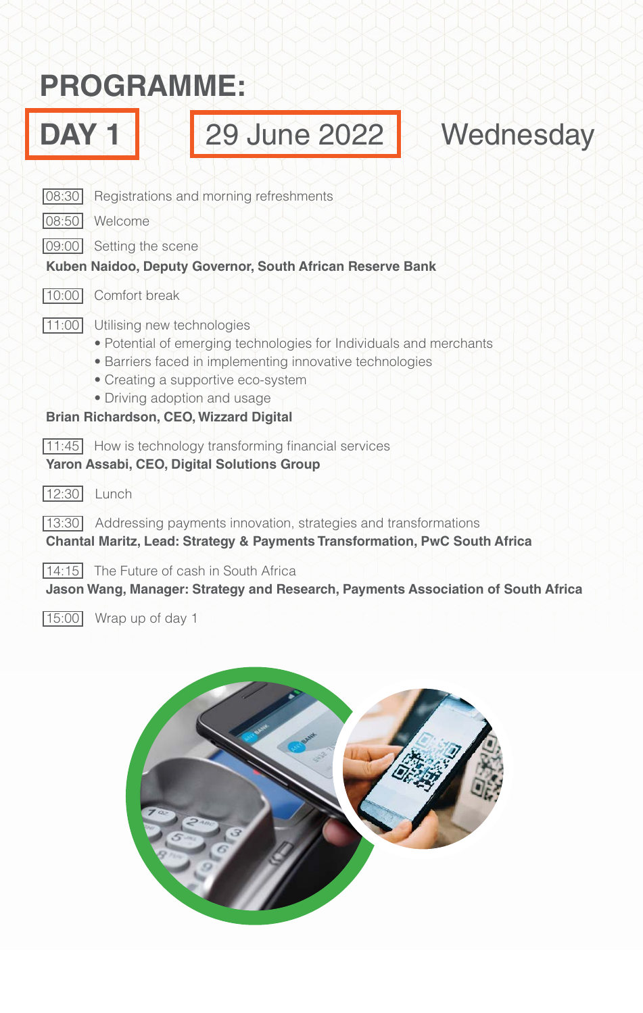# **:PROGRAMME**



 $15:00$  Wrap up of day 1

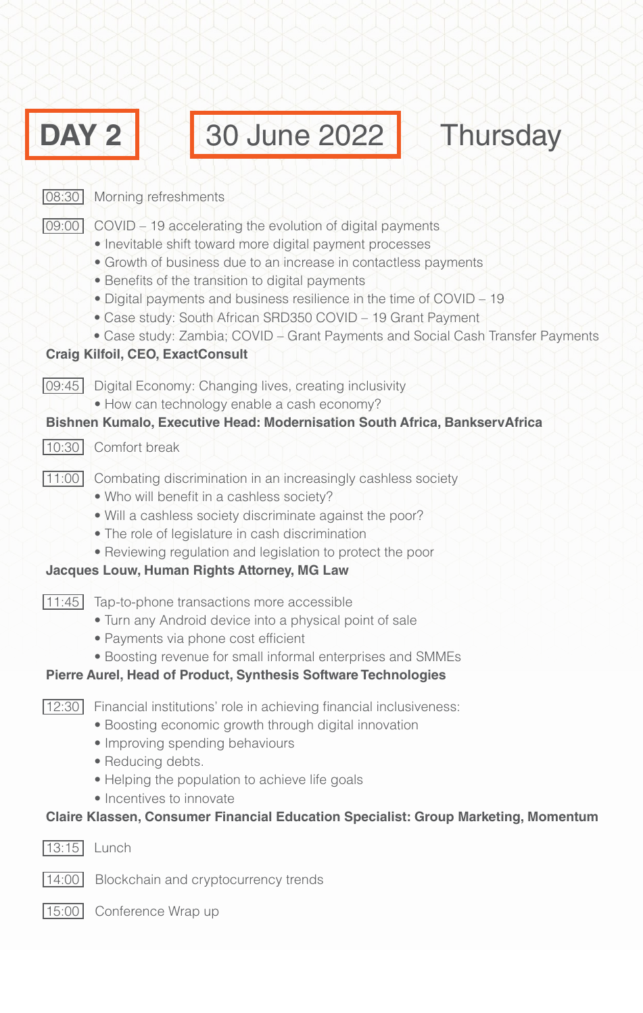| DAY 2 | 30 June 2022<br><b>Thursday</b>                                                                                                                                                                                                                                                                                                                                                                                                                                                                                  |  |  |  |  |
|-------|------------------------------------------------------------------------------------------------------------------------------------------------------------------------------------------------------------------------------------------------------------------------------------------------------------------------------------------------------------------------------------------------------------------------------------------------------------------------------------------------------------------|--|--|--|--|
| 08:30 | Morning refreshments                                                                                                                                                                                                                                                                                                                                                                                                                                                                                             |  |  |  |  |
| 09:00 | COVID – 19 accelerating the evolution of digital payments<br>• Inevitable shift toward more digital payment processes<br>• Growth of business due to an increase in contactless payments<br>• Benefits of the transition to digital payments<br>• Digital payments and business resilience in the time of COVID – 19<br>• Case study: South African SRD350 COVID - 19 Grant Payment<br>• Case study: Zambia; COVID - Grant Payments and Social Cash Transfer Payments<br><b>Craig Kilfoil, CEO, ExactConsult</b> |  |  |  |  |
| 09:45 | Digital Economy: Changing lives, creating inclusivity<br>• How can technology enable a cash economy?                                                                                                                                                                                                                                                                                                                                                                                                             |  |  |  |  |
| 10:30 | Bishnen Kumalo, Executive Head: Modernisation South Africa, BankservAfrica<br>Comfort break                                                                                                                                                                                                                                                                                                                                                                                                                      |  |  |  |  |
| 11:00 | Combating discrimination in an increasingly cashless society<br>• Who will benefit in a cashless society?<br>. Will a cashless society discriminate against the poor?<br>• The role of legislature in cash discrimination<br>• Reviewing regulation and legislation to protect the poor<br><b>Jacques Louw, Human Rights Attorney, MG Law</b>                                                                                                                                                                    |  |  |  |  |
| 11:45 | Tap-to-phone transactions more accessible<br>• Turn any Android device into a physical point of sale<br>• Payments via phone cost efficient<br>• Boosting revenue for small informal enterprises and SMMEs<br>Pierre Aurel, Head of Product, Synthesis Software Technologies                                                                                                                                                                                                                                     |  |  |  |  |
| 12:30 | Financial institutions' role in achieving financial inclusiveness:<br>• Boosting economic growth through digital innovation<br>• Improving spending behaviours<br>• Reducing debts.<br>• Helping the population to achieve life goals<br>• Incentives to innovate<br>Claire Klassen, Consumer Financial Education Specialist: Group Marketing, Momentum                                                                                                                                                          |  |  |  |  |
| 13:15 | Lunch                                                                                                                                                                                                                                                                                                                                                                                                                                                                                                            |  |  |  |  |
| 14:00 | Blockchain and cryptocurrency trends                                                                                                                                                                                                                                                                                                                                                                                                                                                                             |  |  |  |  |
| 15:00 | Conference Wrap up                                                                                                                                                                                                                                                                                                                                                                                                                                                                                               |  |  |  |  |